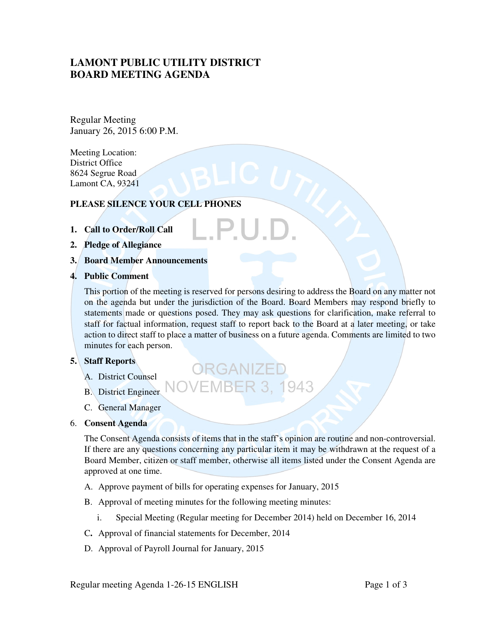# **LAMONT PUBLIC UTILITY DISTRICT BOARD MEETING AGENDA**

Regular Meeting January 26, 2015 6:00 P.M.

Meeting Location: District Office 8624 Segrue Road Lamont CA, 93241

## **PLEASE SILENCE YOUR CELL PHONES**

- **1. Call to Order/Roll Call**
- **2. Pledge of Allegiance**
- **3. Board Member Announcements**
- **4. Public Comment**

This portion of the meeting is reserved for persons desiring to address the Board on any matter not on the agenda but under the jurisdiction of the Board. Board Members may respond briefly to statements made or questions posed. They may ask questions for clarification, make referral to staff for factual information, request staff to report back to the Board at a later meeting, or take action to direct staff to place a matter of business on a future agenda. Comments are limited to two minutes for each person.

ORGANIZE

## **5. Staff Reports**

- A. District Counsel
- **EMBER 3. 1943** B. District Engineer
- C. General Manager
- 6. **Consent Agenda**

The Consent Agenda consists of items that in the staff's opinion are routine and non-controversial. If there are any questions concerning any particular item it may be withdrawn at the request of a Board Member, citizen or staff member, otherwise all items listed under the Consent Agenda are approved at one time.

- A. Approve payment of bills for operating expenses for January, 2015
- B. Approval of meeting minutes for the following meeting minutes:
	- i. Special Meeting (Regular meeting for December 2014) held on December 16, 2014
- C**.** Approval of financial statements for December, 2014
- D. Approval of Payroll Journal for January, 2015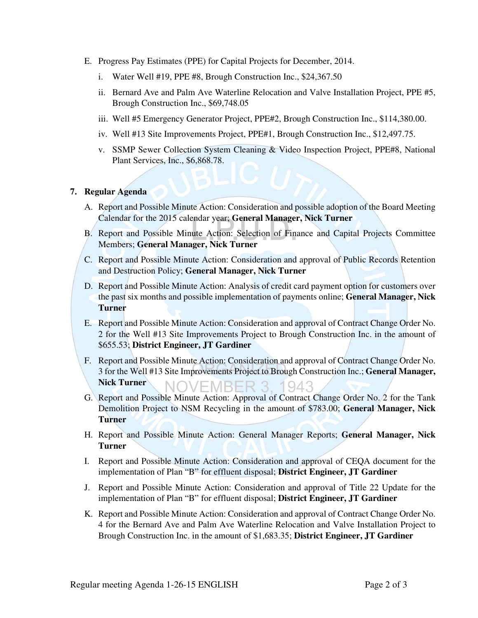- E. Progress Pay Estimates (PPE) for Capital Projects for December, 2014.
	- i. Water Well #19, PPE #8, Brough Construction Inc., \$24,367.50
	- ii. Bernard Ave and Palm Ave Waterline Relocation and Valve Installation Project, PPE #5, Brough Construction Inc., \$69,748.05
	- iii. Well #5 Emergency Generator Project, PPE#2, Brough Construction Inc., \$114,380.00.
	- iv. Well #13 Site Improvements Project, PPE#1, Brough Construction Inc., \$12,497.75.
	- v. SSMP Sewer Collection System Cleaning & Video Inspection Project, PPE#8, National Plant Services, Inc., \$6,868.78.

### **7. Regular Agenda**

- A. Report and Possible Minute Action: Consideration and possible adoption of the Board Meeting Calendar for the 2015 calendar year; **General Manager, Nick Turner**
- B. Report and Possible Minute Action: Selection of Finance and Capital Projects Committee Members; **General Manager, Nick Turner**
- C. Report and Possible Minute Action: Consideration and approval of Public Records Retention and Destruction Policy; **General Manager, Nick Turner**
- D. Report and Possible Minute Action: Analysis of credit card payment option for customers over the past six months and possible implementation of payments online; **General Manager, Nick Turner**
- E. Report and Possible Minute Action: Consideration and approval of Contract Change Order No. 2 for the Well #13 Site Improvements Project to Brough Construction Inc. in the amount of \$655.53; **District Engineer, JT Gardiner**
- F. Report and Possible Minute Action: Consideration and approval of Contract Change Order No. 3 for the Well #13 Site Improvements Project to Brough Construction Inc.; **General Manager, Nick Turner NOVEMBER 3, 1943**
- G. Report and Possible Minute Action: Approval of Contract Change Order No. 2 for the Tank Demolition Project to NSM Recycling in the amount of \$783.00; **General Manager, Nick Turner**
- H. Report and Possible Minute Action: General Manager Reports; **General Manager, Nick Turner**
- I. Report and Possible Minute Action: Consideration and approval of CEQA document for the implementation of Plan "B" for effluent disposal; **District Engineer, JT Gardiner**
- J. Report and Possible Minute Action: Consideration and approval of Title 22 Update for the implementation of Plan "B" for effluent disposal; **District Engineer, JT Gardiner**
- K. Report and Possible Minute Action: Consideration and approval of Contract Change Order No. 4 for the Bernard Ave and Palm Ave Waterline Relocation and Valve Installation Project to Brough Construction Inc. in the amount of \$1,683.35; **District Engineer, JT Gardiner**